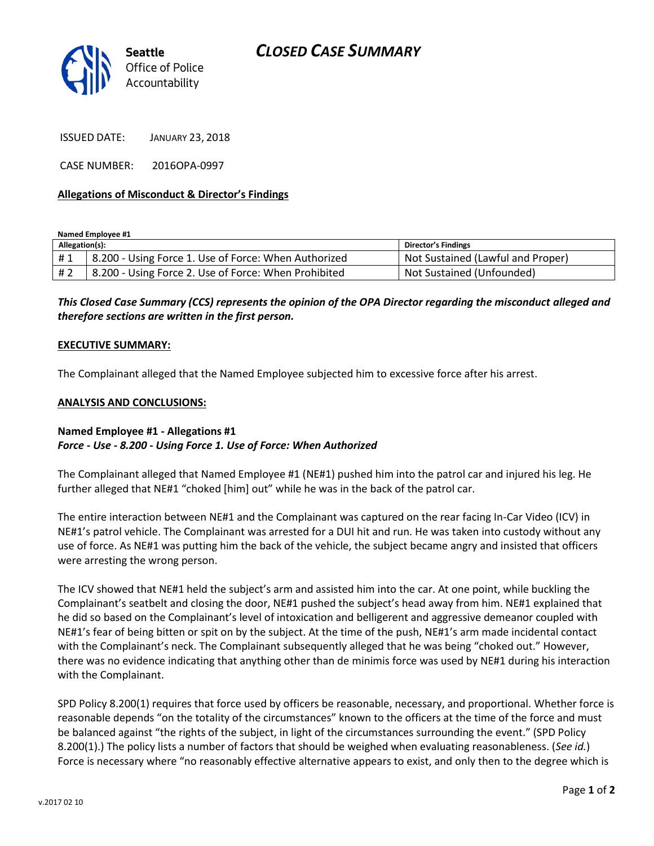

ISSUED DATE: JANUARY 23, 2018

CASE NUMBER: 2016OPA-0997

#### **Allegations of Misconduct & Director's Findings**

**Named Employee #1**

| Allegation(s): |                                                      | <b>Director's Findings</b>        |
|----------------|------------------------------------------------------|-----------------------------------|
| #1             | 8.200 - Using Force 1. Use of Force: When Authorized | Not Sustained (Lawful and Proper) |
| # 2            | 8.200 - Using Force 2. Use of Force: When Prohibited | Not Sustained (Unfounded)         |

## *This Closed Case Summary (CCS) represents the opinion of the OPA Director regarding the misconduct alleged and therefore sections are written in the first person.*

#### **EXECUTIVE SUMMARY:**

The Complainant alleged that the Named Employee subjected him to excessive force after his arrest.

#### **ANALYSIS AND CONCLUSIONS:**

### **Named Employee #1 - Allegations #1** *Force - Use - 8.200 - Using Force 1. Use of Force: When Authorized*

The Complainant alleged that Named Employee #1 (NE#1) pushed him into the patrol car and injured his leg. He further alleged that NE#1 "choked [him] out" while he was in the back of the patrol car.

The entire interaction between NE#1 and the Complainant was captured on the rear facing In-Car Video (ICV) in NE#1's patrol vehicle. The Complainant was arrested for a DUI hit and run. He was taken into custody without any use of force. As NE#1 was putting him the back of the vehicle, the subject became angry and insisted that officers were arresting the wrong person.

The ICV showed that NE#1 held the subject's arm and assisted him into the car. At one point, while buckling the Complainant's seatbelt and closing the door, NE#1 pushed the subject's head away from him. NE#1 explained that he did so based on the Complainant's level of intoxication and belligerent and aggressive demeanor coupled with NE#1's fear of being bitten or spit on by the subject. At the time of the push, NE#1's arm made incidental contact with the Complainant's neck. The Complainant subsequently alleged that he was being "choked out." However, there was no evidence indicating that anything other than de minimis force was used by NE#1 during his interaction with the Complainant.

SPD Policy 8.200(1) requires that force used by officers be reasonable, necessary, and proportional. Whether force is reasonable depends "on the totality of the circumstances" known to the officers at the time of the force and must be balanced against "the rights of the subject, in light of the circumstances surrounding the event." (SPD Policy 8.200(1).) The policy lists a number of factors that should be weighed when evaluating reasonableness. (*See id.*) Force is necessary where "no reasonably effective alternative appears to exist, and only then to the degree which is